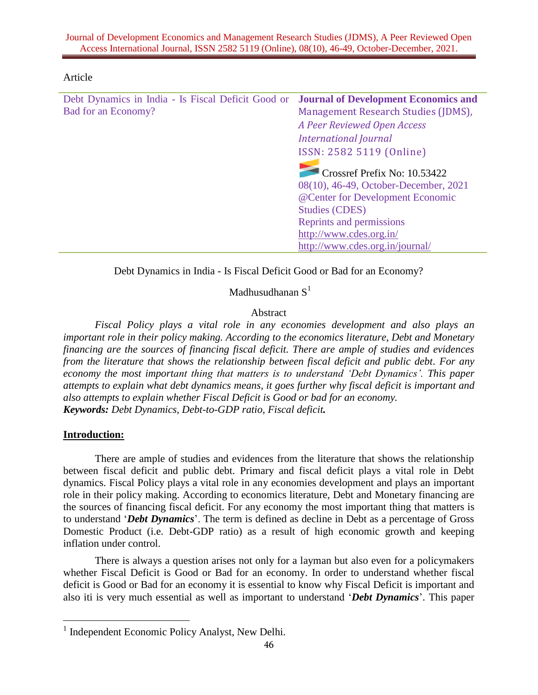| Article |  |
|---------|--|
|         |  |

| Debt Dynamics in India - Is Fiscal Deficit Good or | <b>Journal of Development Economics and</b> |
|----------------------------------------------------|---------------------------------------------|
| Bad for an Economy?                                | Management Research Studies (JDMS),         |
|                                                    | A Peer Reviewed Open Access                 |
|                                                    | <b>International Journal</b>                |
|                                                    | ISSN: 2582 5119 (Online)                    |
|                                                    | Crossref Prefix No: 10.53422                |
|                                                    | 08(10), 46-49, October-December, 2021       |
|                                                    | @Center for Development Economic            |
|                                                    | <b>Studies (CDES)</b>                       |
|                                                    | Reprints and permissions                    |
|                                                    | http://www.cdes.org.in/                     |
|                                                    | http://www.cdes.org.in/journal/             |
|                                                    |                                             |

Debt Dynamics in India - Is Fiscal Deficit Good or Bad for an Economy?

Madhusudhanan  $S^1$ 

## Abstract

*Fiscal Policy plays a vital role in any economies development and also plays an important role in their policy making. According to the economics literature, Debt and Monetary financing are the sources of financing fiscal deficit. There are ample of studies and evidences from the literature that shows the relationship between fiscal deficit and public debt. For any economy the most important thing that matters is to understand 'Debt Dynamics'. This paper attempts to explain what debt dynamics means, it goes further why fiscal deficit is important and also attempts to explain whether Fiscal Deficit is Good or bad for an economy. Keywords: Debt Dynamics, Debt-to-GDP ratio, Fiscal deficit.* 

## **Introduction:**

There are ample of studies and evidences from the literature that shows the relationship between fiscal deficit and public debt. Primary and fiscal deficit plays a vital role in Debt dynamics. Fiscal Policy plays a vital role in any economies development and plays an important role in their policy making. According to economics literature, Debt and Monetary financing are the sources of financing fiscal deficit. For any economy the most important thing that matters is to understand '*Debt Dynamics*'. The term is defined as decline in Debt as a percentage of Gross Domestic Product (i.e. Debt-GDP ratio) as a result of high economic growth and keeping inflation under control.

There is always a question arises not only for a layman but also even for a policymakers whether Fiscal Deficit is Good or Bad for an economy. In order to understand whether fiscal deficit is Good or Bad for an economy it is essential to know why Fiscal Deficit is important and also iti is very much essential as well as important to understand '*Debt Dynamics*'. This paper

<sup>&</sup>lt;sup>1</sup> Independent Economic Policy Analyst, New Delhi.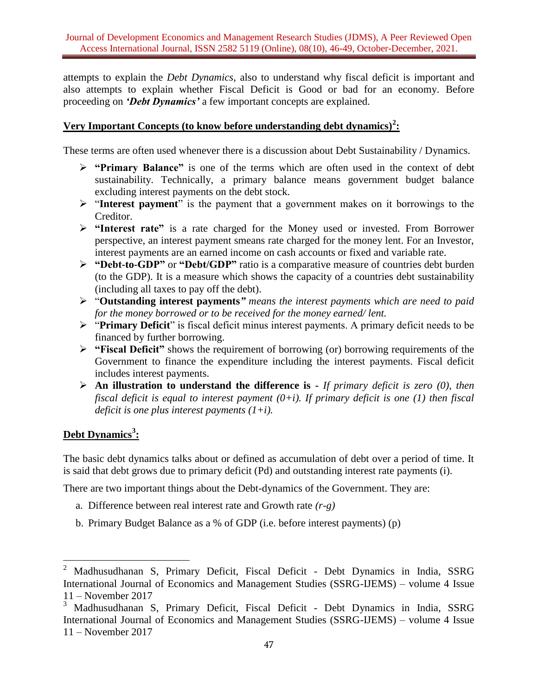attempts to explain the *Debt Dynamics,* also to understand why fiscal deficit is important and also attempts to explain whether Fiscal Deficit is Good or bad for an economy. Before proceeding on *'Debt Dynamics'* a few important concepts are explained.

# **Very Important Concepts (to know before understanding debt dynamics)<sup>2</sup> :**

These terms are often used whenever there is a discussion about Debt Sustainability / Dynamics.

- **"Primary Balance"** is one of the terms which are often used in the context of debt sustainability. Technically, a primary balance means government budget balance excluding interest payments on the debt stock.
- > "Interest payment" is the payment that a government makes on it borrowings to the Creditor.
- **"Interest rate"** is a rate charged for the Money used or invested. From Borrower perspective, an interest payment smeans rate charged for the money lent. For an Investor, interest payments are an earned income on cash accounts or fixed and variable rate.
- **"Debt-to-GDP"** or **"Debt/GDP"** ratio is a comparative measure of countries debt burden (to the GDP). It is a measure which shows the capacity of a countries debt sustainability (including all taxes to pay off the debt).
- "**Outstanding interest payments***" means the interest payments which are need to paid for the money borrowed or to be received for the money earned/ lent.*
- "**Primary Deficit**" is fiscal deficit minus interest payments. A primary deficit needs to be financed by further borrowing.
- **"Fiscal Deficit"** shows the requirement of borrowing (or) borrowing requirements of the Government to finance the expenditure including the interest payments. Fiscal deficit includes interest payments.
- **An illustration to understand the difference is -** *If primary deficit is zero (0), then fiscal deficit is equal to interest payment (0+i). If primary deficit is one (1) then fiscal deficit is one plus interest payments (1+i).*

# **Debt Dynamics<sup>3</sup> :**

The basic debt dynamics talks about or defined as accumulation of debt over a period of time. It is said that debt grows due to primary deficit (Pd) and outstanding interest rate payments (i).

There are two important things about the Debt-dynamics of the Government. They are:

- a. Difference between real interest rate and Growth rate *(r-g)*
- b. Primary Budget Balance as a % of GDP (i.e. before interest payments) (p)

 $\boldsymbol{2}$ <sup>2</sup> Madhusudhanan S, Primary Deficit, Fiscal Deficit - Debt Dynamics in India, SSRG International Journal of Economics and Management Studies (SSRG-IJEMS) – volume 4 Issue 11 – November 2017

<sup>3</sup> Madhusudhanan S, Primary Deficit, Fiscal Deficit - Debt Dynamics in India, SSRG International Journal of Economics and Management Studies (SSRG-IJEMS) – volume 4 Issue 11 – November 2017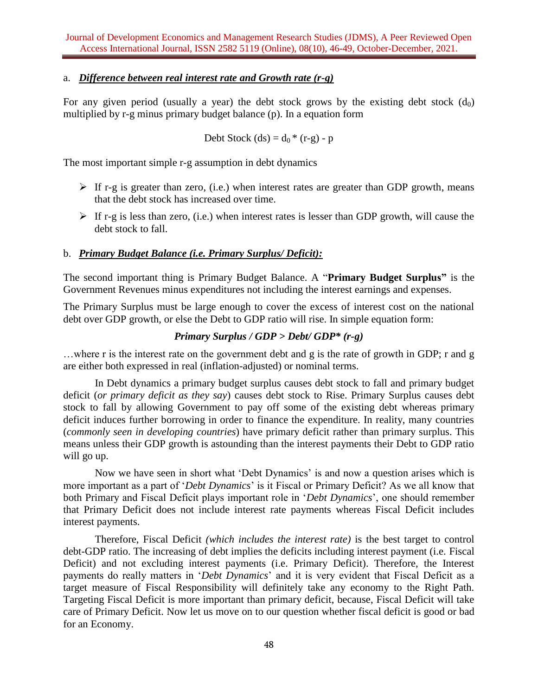## a. *Difference between real interest rate and Growth rate (r-g)*

For any given period (usually a year) the debt stock grows by the existing debt stock  $(d_0)$ multiplied by r-g minus primary budget balance (p). In a equation form

Debt Stock (ds) = 
$$
d_0
$$
 \* (r-g) - p

The most important simple r-g assumption in debt dynamics

- $\triangleright$  If r-g is greater than zero, (i.e.) when interest rates are greater than GDP growth, means that the debt stock has increased over time.
- $\triangleright$  If r-g is less than zero, (i.e.) when interest rates is lesser than GDP growth, will cause the debt stock to fall.

#### b. *Primary Budget Balance (i.e. Primary Surplus/ Deficit):*

The second important thing is Primary Budget Balance. A "**Primary Budget Surplus"** is the Government Revenues minus expenditures not including the interest earnings and expenses.

The Primary Surplus must be large enough to cover the excess of interest cost on the national debt over GDP growth, or else the Debt to GDP ratio will rise. In simple equation form:

## *Primary Surplus / GDP > Debt/ GDP\* (r-g)*

…where r is the interest rate on the government debt and g is the rate of growth in GDP; r and g are either both expressed in real (inflation-adjusted) or nominal terms.

In Debt dynamics a primary budget surplus causes debt stock to fall and primary budget deficit (*or primary deficit as they say*) causes debt stock to Rise. Primary Surplus causes debt stock to fall by allowing Government to pay off some of the existing debt whereas primary deficit induces further borrowing in order to finance the expenditure. In reality, many countries (*commonly seen in developing countries*) have primary deficit rather than primary surplus. This means unless their GDP growth is astounding than the interest payments their Debt to GDP ratio will go up.

Now we have seen in short what 'Debt Dynamics' is and now a question arises which is more important as a part of '*Debt Dynamics*' is it Fiscal or Primary Deficit? As we all know that both Primary and Fiscal Deficit plays important role in '*Debt Dynamics*', one should remember that Primary Deficit does not include interest rate payments whereas Fiscal Deficit includes interest payments.

Therefore, Fiscal Deficit *(which includes the interest rate)* is the best target to control debt-GDP ratio. The increasing of debt implies the deficits including interest payment (i.e. Fiscal Deficit) and not excluding interest payments (i.e. Primary Deficit). Therefore, the Interest payments do really matters in '*Debt Dynamics*' and it is very evident that Fiscal Deficit as a target measure of Fiscal Responsibility will definitely take any economy to the Right Path. Targeting Fiscal Deficit is more important than primary deficit, because, Fiscal Deficit will take care of Primary Deficit. Now let us move on to our question whether fiscal deficit is good or bad for an Economy.